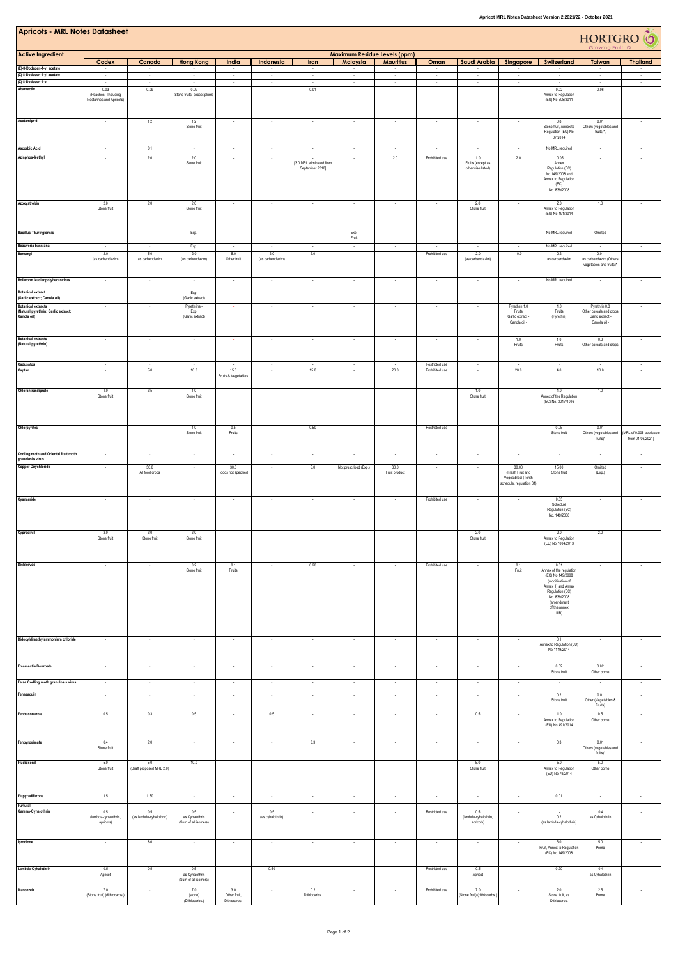| <b>Apricots - MRL Notes Datasheet</b><br>HORTGRO <sup>6</sup>                   |                                                          |                                 |                                                         |                                     |                          |                                                        |                                        |                       |                                  |                                                         |                                                                             |                                                                                                                                                                          |                                                                              |                                              |
|---------------------------------------------------------------------------------|----------------------------------------------------------|---------------------------------|---------------------------------------------------------|-------------------------------------|--------------------------|--------------------------------------------------------|----------------------------------------|-----------------------|----------------------------------|---------------------------------------------------------|-----------------------------------------------------------------------------|--------------------------------------------------------------------------------------------------------------------------------------------------------------------------|------------------------------------------------------------------------------|----------------------------------------------|
| <b>Active Ingredient</b>                                                        | Maximum Residue Levels (ppm)                             |                                 |                                                         |                                     |                          |                                                        |                                        |                       |                                  |                                                         |                                                                             |                                                                                                                                                                          |                                                                              |                                              |
| (E)-8-Dodecen-1-yl acetate                                                      | Codex                                                    | Canada                          | <b>Hong Kong</b>                                        | India                               | Indonesia                | Iran                                                   | Malaysia                               | <b>Mauritius</b>      | Oman                             | Saudi Arabia                                            | Singapore                                                                   | Switzerland                                                                                                                                                              | Taiwan                                                                       | <b>Thailand</b>                              |
| (Z)-8-Dodecen-1-yl acetate<br>(Z)-8-Dodecen-1-ol                                | ٠<br>$\sim$<br>$\sim$                                    | л.<br>$\sim$                    | $\sim$<br>$\sim$                                        | ٠<br>$\sim$<br>$\sim$               | $\sim$<br>$\sim$         | ÷<br>$\sim$<br>$\sim$                                  | $\tau$<br>$\sim$                       | $\sim$<br>$\sim$      | $\sim$<br>$\sim$                 | $\sim$<br>$\sim$                                        | $\sim$<br>$\sim$                                                            | $\sim$<br>$\sim$                                                                                                                                                         | $\sim$<br>$\sim$                                                             | $\sim$<br>$\sim$                             |
| Abamectin                                                                       | 0.03<br>(Peaches - Including<br>Nectarines and Apricots) | 0.09                            | 0.09<br>Stone fruits, except plums                      |                                     | $\sim$                   | 0.01                                                   | $\overline{\phantom{a}}$               |                       |                                  | ٠                                                       | $\overline{\phantom{a}}$                                                    | 0.02<br>Annex to Regulation<br>(EU) No 508/2011                                                                                                                          | 0.06                                                                         | $\overline{\phantom{a}}$                     |
| Acetamiprid                                                                     | $\overline{\phantom{a}}$                                 | 1.2                             | 1.2<br>Stone fruit                                      | $\epsilon$                          | $\ddot{\phantom{a}}$     | $\cdot$                                                | $\overline{\phantom{a}}$               |                       | $\sim$                           | $\cdot$                                                 | $\cdot$                                                                     | 0.8<br>Stone fruit, Annex to<br>Regulation (EU) No<br>87/2014                                                                                                            | 0.01<br>Others (vegetables and<br>fruits)*,                                  | $\sim$                                       |
| Ascorbic Acid<br>Azinphos-Methyl                                                | $\overline{\phantom{a}}$<br>$\sim$                       | 0.1<br>2.0                      | $\sim$<br>2.0<br>Stone fruit                            | $\sim$<br>$\overline{\phantom{a}}$  | $\cdot$<br>$\cdot$       | $\cdot$<br>[3.0 MRL eliminated from<br>September 2010] | $\epsilon$<br>$\overline{\phantom{a}}$ | 2.0                   | Prohibited use                   | $\sim$<br>1.0<br>Fruits (except as<br>otherwise listed) | $\overline{\phantom{a}}$<br>2.0                                             | No MRL required<br>0.05<br>Annex<br>Regulation (EC)<br>No 149/2008 and<br>Annex to Regulation<br>(EC)<br>No. 839/2008                                                    | $\sim$<br>$\sim$                                                             | $\sim$                                       |
| Azoxystrobin                                                                    | 2.0<br>Stone fruit                                       | 2.0                             | 2.0<br>Stone fruit                                      |                                     | $\cdot$                  | $\overline{\phantom{a}}$                               |                                        |                       |                                  | 2.0<br>Stone fruit                                      | $\overline{\phantom{a}}$                                                    | 2.0<br>Annex to Regulation<br>(EU) No 491/2014                                                                                                                           | 1.0                                                                          |                                              |
| <b>Bacillus Thuringiensis</b>                                                   | $\overline{\phantom{a}}$                                 |                                 | Exp.                                                    |                                     | $\overline{\phantom{a}}$ | $\overline{\phantom{a}}$                               | Exp.<br>Fruit                          |                       |                                  | $\overline{\phantom{a}}$                                |                                                                             | No MRL required                                                                                                                                                          | Omitted                                                                      |                                              |
| Beauveria bassiana<br>Benomyl                                                   | 2.0<br>(as carbendazim)                                  | 5.0<br>as carbendazim           | Exp.<br>2.0<br>(as carbendazim)                         | 5.0<br>Other fruit                  | 2.0<br>(as carbendazim)  | 2.0                                                    |                                        |                       | Prohibited use                   | 2.0<br>(as carbendazim)                                 | 10.0                                                                        | No MRL required<br>0.2<br>as carbendazim                                                                                                                                 | 0.01<br>as carbendazim (Others<br>vegetables and fruits)*                    |                                              |
| <b>Bollworm Nucleopolyhedrovirus</b>                                            |                                                          |                                 |                                                         |                                     |                          |                                                        |                                        |                       |                                  |                                                         |                                                                             | No MRL required                                                                                                                                                          |                                                                              |                                              |
| <b>Botanical extract</b><br>Garlic extract; Canola oil)                         | ×                                                        | $\sim$                          | Exp.<br>(Garlic extract)                                |                                     | $\sim$                   | ÷.                                                     |                                        |                       |                                  | $\sim$                                                  | ×,                                                                          |                                                                                                                                                                          | $\sim$                                                                       |                                              |
| <b>Botanical extracts</b><br>(Natural pyrethrin; Garlic extract;<br>Canola oil) | $\overline{\phantom{a}}$                                 |                                 | Pyrethrins -<br>Exp.<br>(Garlic extract)                |                                     | $\cdot$                  | $\overline{\phantom{a}}$                               |                                        |                       | $\overline{\phantom{a}}$         | $\overline{\phantom{a}}$                                | Pyrethrin 1.0<br>Fruits<br>Garlic extract -<br>Canola oil -                 | 1.0<br>Fruits<br>(Pyrethin)                                                                                                                                              | Pyrethrin 0.3<br>Other cereals and crops<br>Garlic extract -<br>Canola oil - |                                              |
| <b>Botanical extracts</b><br>(Natural pyrethrin)                                | $\cdot$                                                  | $\sim$                          | $\sim$                                                  |                                     | $\cdot$                  | $\cdot$                                                | $\sim$                                 | $\sim$                | $\sim$                           | $\cdot$                                                 | 1.0<br>Fruits                                                               | 1.0<br>Fruits                                                                                                                                                            | 0.3<br>Other cereals and crops                                               | $\overline{\phantom{a}}$                     |
| Cadusafos<br>Captan                                                             | $\sim$                                                   | 5.0                             | 10.0                                                    | 15.0<br>Fruits & Vegetables         | $\cdot$                  | 15.0                                                   | $\sim$                                 | 20.0                  | Restricted use<br>Prohibited use | $\cdot$                                                 | 20.0                                                                        | 4.0                                                                                                                                                                      | 10.0                                                                         | $\cdot$                                      |
| Chlorantraniliprole                                                             | 1.0<br>Stone fruit                                       | 2.5                             | 1.0<br>Stone fruit                                      |                                     | $\cdot$                  | $\sim$                                                 | $\epsilon$                             |                       | $\sim$                           | 1.0<br>Stone fruit                                      | $\epsilon$                                                                  | 1.0<br>Annex of the Regulation<br>(EC) No. 2017/1016                                                                                                                     | 1.0                                                                          | $\sim$                                       |
| Chlorpyrifos                                                                    | $\sim$                                                   | $\sim$                          | 1.0<br>Stone fruit                                      | 0.5<br>Fruits                       | $\cdot$                  | 0.50                                                   | $\overline{\phantom{a}}$               |                       | Restricted use                   | $\cdot$                                                 |                                                                             | 0.05<br>Stone fruit                                                                                                                                                      | 0.01<br>Others (vegetables and<br>fruits)*                                   | (MRL of 0.005 applicable<br>from 01/06/2021) |
| Codling moth and Oriental fruit moth<br>granolosis virus                        | ×                                                        |                                 | ×                                                       |                                     | ÷.                       | ÷.                                                     |                                        |                       |                                  |                                                         |                                                                             |                                                                                                                                                                          |                                                                              |                                              |
| Copper Oxychloride                                                              | $\sim$                                                   | 50.0<br>All food crops          | $\sim$                                                  | 30.0<br>Foods not specified         | $\sim$                   | 5.0                                                    | Not prescribed (Exp.)                  | 30.0<br>Fruit product |                                  |                                                         | 30.00<br>(Fresh Fruit and<br>Vegetables) (Tenth<br>schedule, regulation 31) | 15.00<br>Stone fruit                                                                                                                                                     | Omitted<br>(Exp.)                                                            |                                              |
| Cyanamide                                                                       | $\cdot$                                                  | $\sim$                          | $\overline{\phantom{a}}$                                | $\overline{\phantom{a}}$            | $\overline{\phantom{a}}$ | $\sim$                                                 | $\sim$                                 |                       | Prohibited use                   | $\cdot$                                                 | ٠                                                                           | 0.05<br>Schedule<br>Regulation (EC)<br>No. 149/2008                                                                                                                      | $\overline{\phantom{a}}$                                                     | $\overline{\phantom{a}}$                     |
| Cyprodinil                                                                      | $2.0\,$<br>Stone fruit                                   | 2.0<br>Stone fruit              | $2.0\,$<br>Stone fruit                                  |                                     |                          |                                                        |                                        |                       |                                  | 2.0<br>Stone fruit                                      |                                                                             | 2.0<br>Annex to Regulation<br>(EU) No 1004/2013                                                                                                                          | 2.0                                                                          |                                              |
| Dichlorvos                                                                      | $\sim$                                                   |                                 | 0.2<br>Stone fruit                                      | 0.1<br>Fruits                       | $\sim$                   | 0.20                                                   |                                        |                       | Prohibited use                   |                                                         | 0.1<br>Fruit                                                                | 0.01<br>Annex of the regulation<br>(EC) No 149/2008<br>(modification of<br>Annex II) and Annex<br>Regulation (FC)<br>No. 839/2008<br>(amendment<br>of the annex<br>IIIB) |                                                                              |                                              |
| Didecyldimethylammonium chloride                                                | $\sim$                                                   | $\sim$                          | ٠                                                       | $\cdot$                             | $\cdot$                  | $\sim$                                                 | $\sim$                                 | $\sim$                | $\sim$                           | $\sim$                                                  | $\sim$                                                                      | 0.1<br>Annex to Regulation (EU)<br>No 1119/2014                                                                                                                          | $\cdot$                                                                      | $\sim$                                       |
| <b>Emamectin Benzoate</b>                                                       | $\cdot$                                                  | $\sim$                          | $\cdot$                                                 | $\cdot$                             | $\cdot$                  | $\sim$                                                 | $\sim$                                 | $\sim$                | $\sim$                           | $\cdot$                                                 | $\bullet$                                                                   | 0.02<br>Stone fruit                                                                                                                                                      | 0.02<br>Other pome                                                           | $\sim$                                       |
| False Codling moth granulosis virus                                             | $\sim$                                                   | $\sim$                          | $\cdot$                                                 | $\sim$                              | $\sim$                   | $\sim$                                                 | $\sim$                                 | $\sim$                | $\sim$                           | $\sim$                                                  | $\sim$                                                                      |                                                                                                                                                                          | $\sim$                                                                       | $\sim$                                       |
| Fenazaquin                                                                      | $\sim$                                                   | $\sim$                          | $\sim$                                                  | $\sim$                              | $\sim$                   | $\sim$                                                 | $\sim$                                 | $\sim$                | $\sim$                           | $\sim$                                                  | $\sim$                                                                      | 0.2<br>Stone fruit                                                                                                                                                       | 0.01<br>Other (Vegetables &<br>Fruits)                                       | $\sim$                                       |
| Fenbuconazole                                                                   | 0.5                                                      | 0.3                             | 0.5                                                     | $\cdot$                             | 0.5                      | $\sim$                                                 | $\sim$                                 | $\cdot$               | $\sim$                           | 0.5                                                     | $\sim$                                                                      | 1.0<br>Annex to Regulation<br>(EU) No 491/2014                                                                                                                           | 0.5<br>Other pome                                                            | $\cdot$                                      |
| Fenpyroximate                                                                   | 0.4<br>Stone fruit                                       | 2.0                             | $\cdot$                                                 | $\cdot$                             | $\cdot$                  | 0.3                                                    | $\sim$                                 | $\sim$                | $\sim$                           | $\sim$                                                  | $\sim$                                                                      | 0.3                                                                                                                                                                      | 0.01<br>Others (vegetables and<br>fruits)*                                   | $\sim$                                       |
| Fludioxonil                                                                     | 5.0<br>Stone fruit                                       | 5.0<br>(Draft proposed MRL 2.0) | 10.0                                                    | $\sim$                              | $\cdot$                  | $\sim$                                                 | $\sim$                                 | $\sim$                | $\sim$                           | 5.0<br>Stone fruit                                      | $\sim$                                                                      | 5.0<br>Annex to Regulation<br>(EU) No 79/2014                                                                                                                            | 5.0<br>Other pome                                                            | $\sim$                                       |
| Flupyradifurone<br>Furfural                                                     | $1.5\,$                                                  | 1.50                            | $\ddot{\phantom{1}}$                                    | ٠                                   | $\cdot$                  | $\cdot$<br>$\sim$                                      | ٠<br>$\sim$                            | $\sim$<br>$\sim$      |                                  | $\sim$<br>$\sim$                                        | $\cdot$<br>$\sim$                                                           | 0.01                                                                                                                                                                     | $\cdot$                                                                      | $\sim$                                       |
| Gamma-Cyhalothrin                                                               | $\sim$<br>0.5<br>(lambda-cyhalothrin,<br>apricots)       | 0.5<br>(as lambda-cyhalothrin)  | $\sim$<br>0.5<br>as Cyhalothrin<br>(Sum of all isomers) | $\sim$                              | 0.5<br>(as cyhalothrin)  |                                                        |                                        |                       | Restricted use                   | 0.5<br>(lambda-cyhalothrin,<br>apricots)                |                                                                             | 0.2<br>(as lambda-cyhalothrin)                                                                                                                                           | 0.4<br>as Cyhalothrin                                                        | $\sim$                                       |
| Iprodione                                                                       | Ŧ                                                        | 3.0                             | $\cdot$                                                 | $\cdot$                             | $\cdot$                  | $\cdot$                                                | $\cdot$                                | $\cdot$               | $\cdot$                          | $\cdot$                                                 | $\cdot$                                                                     | 6.0<br>ruit, Annex to Regulation<br>(EC) No 149/2008                                                                                                                     | 5.0<br>Pome                                                                  | $\cdot$                                      |
| Lambda-Cyhalothrin                                                              | 0.5<br>Apricot                                           | 0.5                             | 0.5<br>as Cyhalothrin<br>(Sum of all isomers)           | $\sim$                              | 0.50                     | $\sim$                                                 | $\sim$                                 | $\sim$                | Restricted use                   | 0.5<br>Apricot                                          | $\sim$                                                                      | 0.20                                                                                                                                                                     | 0.4<br>as Cyhalothrin                                                        | $\sim$                                       |
| Mancozeb                                                                        | 7.0<br>(Stone fruit) (dithiocarbs.)                      | $\cdot$                         | 7.0<br>(stone)<br>(Dithiocarbs.)                        | 3.0<br>Other fruit,<br>Dithiocarbs. | $\cdot$                  | 0.2<br>Dithiocarbs.                                    | $\cdot$                                | $\cdot$               | Prohibited use                   | 7.0<br>(Stone fruit) (dithiocarbs.)                     | $\cdot$                                                                     | 2.0<br>Stone fruit, as<br>Dithiocarbs.                                                                                                                                   | $2.5\,$<br>Pome                                                              | $\cdot$                                      |